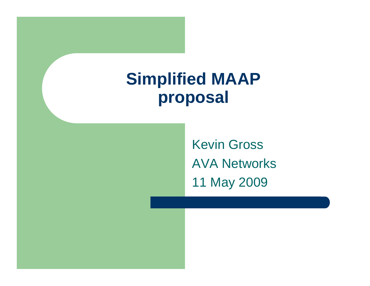### **Simplified MAAP proposal**

Kevin Gross AVA Networks11 May 2009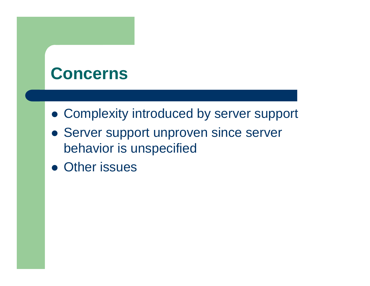#### **Concerns**

- **Complexity introduced by server support**
- Server support unproven since server behavior is unspecified
- Other issues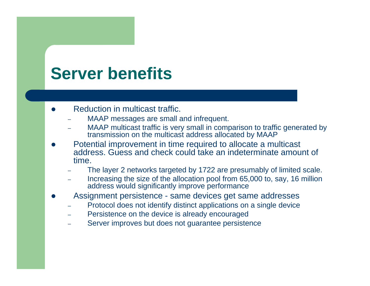### **Server benefits**

- $\bullet$  Reduction in multicast traffic.
	- –MAAP messages are small and infrequent.
	- MAAP multicast traffic is very small in comparison to traffic generated by transmission on the multicast address allocated by MAAP
- $\bullet$  Potential improvement in time required to allocate a multicast address. Guess and check could take an indeterminate amount of time.
	- The layer 2 networks targeted by 1722 are presumably of limited scale.
	- –- Increasing the size of the allocation pool from 65,000 to, say, 16 million address would significantly improve performance
- $\bullet$  Assignment persistence - same devices get same addresses
	- –Protocol does not identify distinct applications on a single device
	- –Persistence on the device is already encouraged
	- Server improves but does not guarantee persistence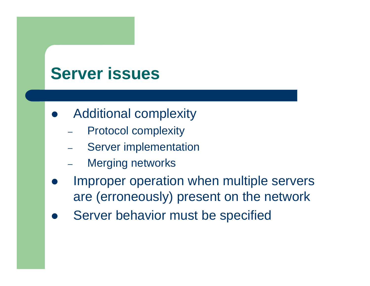### **Server issues**

- $\bullet$  Additional complexity
	- Protocol complexity
	- Server implementation
	- Merging networks
- $\bullet$  Improper operation when multiple servers are (erroneously) present on the network
- $\bullet$ Server behavior must be specified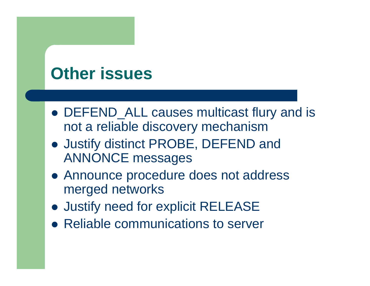### **Other issues**

- DEFEND\_ALL causes multicast flury and is not a reliable discovery mechanism
- Justify distinct PROBE, DEFEND and ANNONCE messages
- Announce procedure does not address merged networks
- **Justify need for explicit RELEASE**
- Reliable communications to server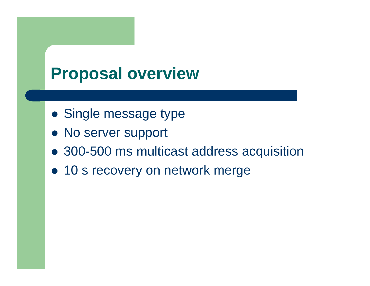### **Proposal overview**

- Single message type
- No server support
- 300-500 ms multicast address acquisition
- 10 s recovery on network merge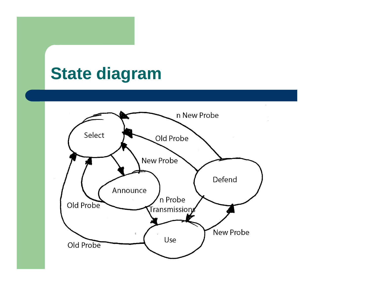### **State diagram**

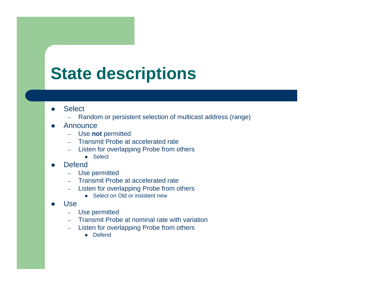# **State descriptions**

- $\bullet$ **Select** 
	- –Random or persistent selection of multicast address (range)
- O Announce
	- Use **not** permitted
	- Transmit Probe at accelerated rate
	- – Listen for overlapping Probe from others
		- Select
- O **Defend** 
	- –Use permitted
	- –Transmit Probe at accelerated rate
	- – Listen for overlapping Probe from others
		- Select on Old or insistent new
- O Use
	- Use permitted
	- Transmit Probe at nominal rate with variation
	- – Listen for overlapping Probe from others
		- Defend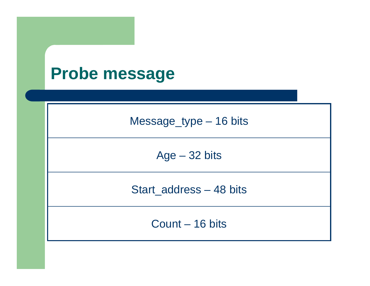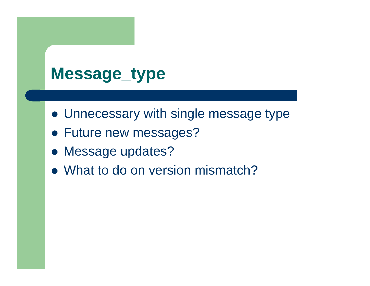# **Message\_type**

- Unnecessary with single message type
- Future new messages?
- Message updates?
- What to do on version mismatch?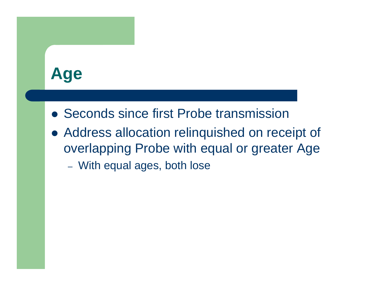### **Age**

- Seconds since first Probe transmission
- Address allocation relinquished on receipt of overlapping Probe with equal or greater Age
	- With equal ages, both lose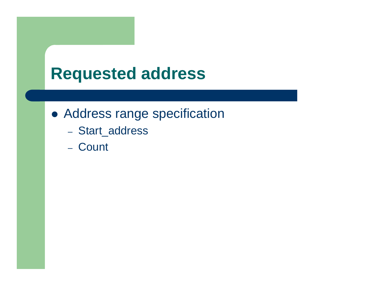### **Requested address**

- Address range specification
	- Start\_address
	- Count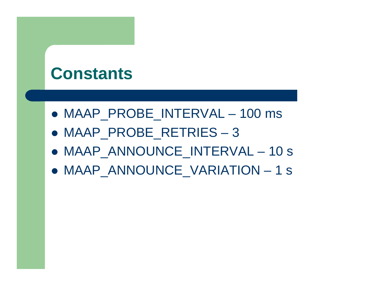#### **Constants**

- z MAAP\_PROBE\_INTERVAL 100 ms
- z MAAP\_PROBE\_RETRIES 3
- z MAAP\_ANNOUNCE\_INTERVAL 10 s
- z MAAP\_ANNOUNCE\_VARIATION 1 s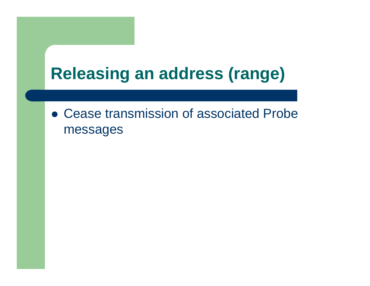# **Releasing an address (range)**

• Cease transmission of associated Probe messages